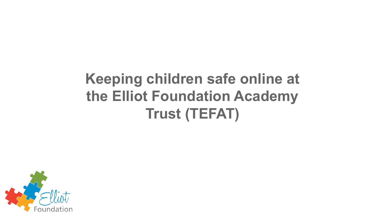# **Keeping children safe online at the Elliot Foundation Academy Trust (TEFAT)**

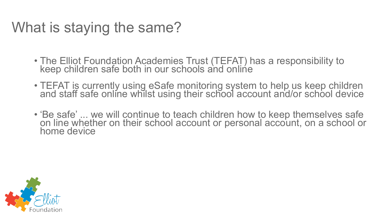### What is staying the same?

- The Elliot Foundation Academies Trust (TEFAT) has a responsibility to keep children safe both in our schools and online
- TEFAT is currently using eSafe monitoring system to help us keep children and staff safe online whilst using their school account and/or school device
- 'Be safe' ... we will continue to teach children how to keep themselves safe on line whether on their school account or personal account, on a school or home device

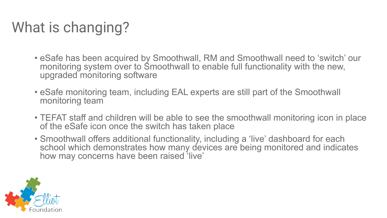# What is changing?

- eSafe has been acquired by Smoothwall, RM and Smoothwall need to 'switch' our monitoring system over to Smoothwall to enable full functionality with the new, upgraded monitoring software
- eSafe monitoring team, including EAL experts are still part of the Smoothwall monitoring team
- TEFAT staff and children will be able to see the smoothwall monitoring icon in place of the eSafe icon once the switch has taken place
- Smoothwall offers additional functionality, including a 'live' dashboard for each school which demonstrates how many devices are being monitored and indicates how may concerns have been raised 'live'

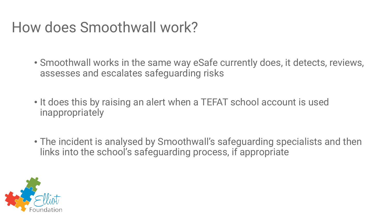#### How does Smoothwall work?

• Smoothwall works in the same way eSafe currently does, it detects, reviews, assesses and escalates safeguarding risks

• It does this by raising an alert when a TEFAT school account is used inappropriately

• The incident is analysed by Smoothwall's safeguarding specialists and then links into the school's safeguarding process, if appropriate

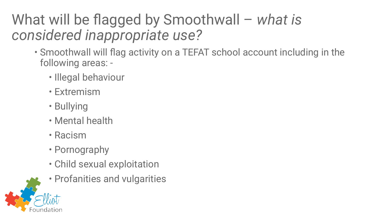### What will be flagged by Smoothwall – *what is considered inappropriate use?*

- Smoothwall will flag activity on a TEFAT school account including in the following areas: -
	- Illegal behaviour
	- Extremism
	- Bullying
	- Mental health
	- Racism
	- Pornography
	- Child sexual exploitation
	- Profanities and vulgarities

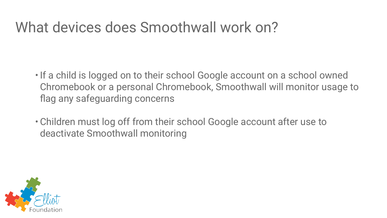#### What devices does Smoothwall work on?

- •If a child is logged on to their school Google account on a school owned Chromebook or a personal Chromebook, Smoothwall will monitor usage to flag any safeguarding concerns
- Children must log off from their school Google account after use to deactivate Smoothwall monitoring

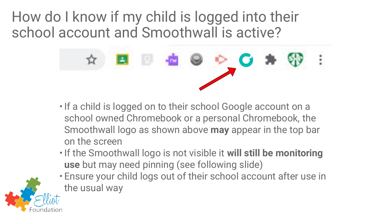How do I know if my child is logged into their school account and Smoothwall is active?



- If a child is logged on to their school Google account on a school owned Chromebook or a personal Chromebook, the Smoothwall logo as shown above **may** appear in the top bar on the screen
- •If the Smoothwall logo is not visible it **will still be monitoring use** but may need pinning (see following slide)
- Ensure your child logs out of their school account after use in the usual way

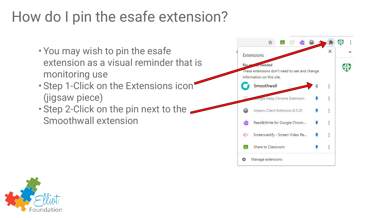### How do I pin the esafe extension?

- You may wish to pin the esafe extension as a visual reminder that is monitoring use
- Step 1-Click on the Extensions icon (jigsaw piece)
- Step 2-Click on the pin next to the Smoothwall extension



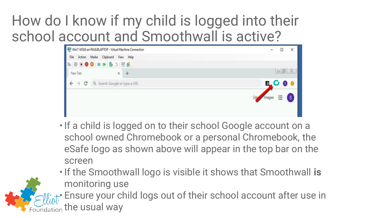#### How do I know if my child is logged into their school account and Smoothwall is active?



- If a child is logged on to their school Google account on a school owned Chromebook or a personal Chromebook, the eSafe logo as shown above will appear in the top bar on the screen
- •If the Smoothwall logo is visible it shows that Smoothwall **is** monitoring use

• Ensure your child logs out of their school account after use in the usual way